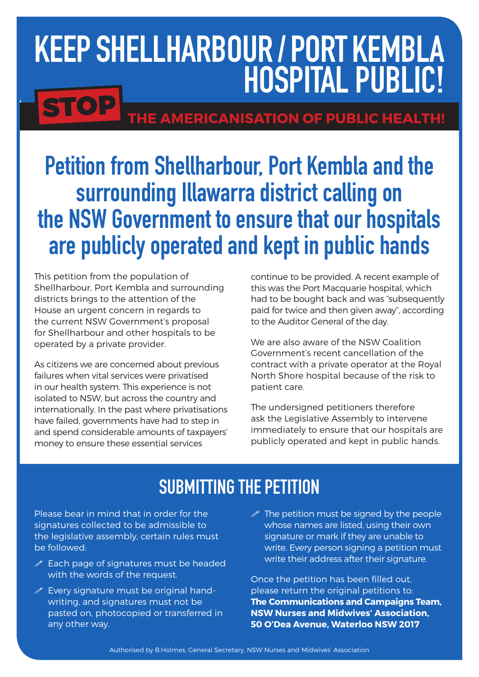# Keep Shellharbour / port kembla Hospital Public!

## **STOP** THE AMERICANISATION OF PUBLIC HEALTH!

## Petition from Shellharbour, Port Kembla and the surrounding Illawarra district calling on the NSW Government to ensure that our hospitals are publicly operated and kept in public hands

This petition from the population of Shellharbour, Port Kembla and surrounding districts brings to the attention of the House an urgent concern in regards to the current NSW Government's proposal for Shellharbour and other hospitals to be operated by a private provider.

As citizens we are concerned about previous failures when vital services were privatised in our health system. This experience is not isolated to NSW, but across the country and internationally. In the past where privatisations have failed, governments have had to step in and spend considerable amounts of taxpayers' money to ensure these essential services

continue to be provided. A recent example of this was the Port Macquarie hospital, which had to be bought back and was "subsequently paid for twice and then given away", according to the Auditor General of the day.

We are also aware of the NSW Coalition Government's recent cancellation of the contract with a private operator at the Royal North Shore hospital because of the risk to patient care.

The undersigned petitioners therefore ask the Legislative Assembly to intervene immediately to ensure that our hospitals are publicly operated and kept in public hands.

### SUBMITTING THE PETITION

Please bear in mind that in order for the signatures collected to be admissible to the legislative assembly, certain rules must be followed:

- $\mathscr P$  Each page of signatures must be headed with the words of the request.
- $\mathscr{P}$  Every signature must be original handwriting, and signatures must not be pasted on, photocopied or transferred in any other way.
- $\mathscr P$  The petition must be signed by the people whose names are listed, using their own signature or mark if they are unable to write. Every person signing a petition must write their address after their signature.

Once the petition has been filled out, please return the original petitions to: **The Communications and Campaigns Team, NSW Nurses and Midwives' Association, 50 O'Dea Avenue, Waterloo NSW 2017**